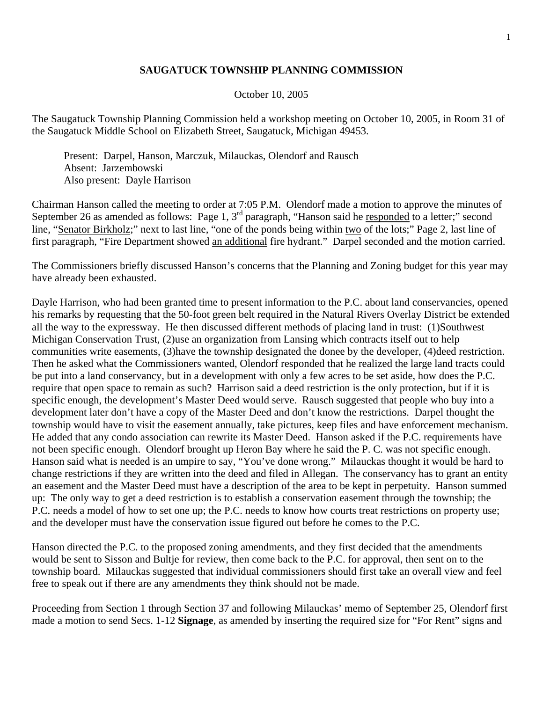## **SAUGATUCK TOWNSHIP PLANNING COMMISSION**

## October 10, 2005

The Saugatuck Township Planning Commission held a workshop meeting on October 10, 2005, in Room 31 of the Saugatuck Middle School on Elizabeth Street, Saugatuck, Michigan 49453.

 Present: Darpel, Hanson, Marczuk, Milauckas, Olendorf and Rausch Absent: Jarzembowski Also present: Dayle Harrison

Chairman Hanson called the meeting to order at 7:05 P.M. Olendorf made a motion to approve the minutes of September 26 as amended as follows: Page 1, 3<sup>rd</sup> paragraph, "Hanson said he <u>responded</u> to a letter;" second line, "Senator Birkholz;" next to last line, "one of the ponds being within two of the lots;" Page 2, last line of first paragraph, "Fire Department showed an additional fire hydrant." Darpel seconded and the motion carried.

The Commissioners briefly discussed Hanson's concerns that the Planning and Zoning budget for this year may have already been exhausted.

Dayle Harrison, who had been granted time to present information to the P.C. about land conservancies, opened his remarks by requesting that the 50-foot green belt required in the Natural Rivers Overlay District be extended all the way to the expressway. He then discussed different methods of placing land in trust: (1)Southwest Michigan Conservation Trust, (2)use an organization from Lansing which contracts itself out to help communities write easements, (3)have the township designated the donee by the developer, (4)deed restriction. Then he asked what the Commissioners wanted, Olendorf responded that he realized the large land tracts could be put into a land conservancy, but in a development with only a few acres to be set aside, how does the P.C. require that open space to remain as such? Harrison said a deed restriction is the only protection, but if it is specific enough, the development's Master Deed would serve. Rausch suggested that people who buy into a development later don't have a copy of the Master Deed and don't know the restrictions. Darpel thought the township would have to visit the easement annually, take pictures, keep files and have enforcement mechanism. He added that any condo association can rewrite its Master Deed. Hanson asked if the P.C. requirements have not been specific enough. Olendorf brought up Heron Bay where he said the P. C. was not specific enough. Hanson said what is needed is an umpire to say, "You've done wrong." Milauckas thought it would be hard to change restrictions if they are written into the deed and filed in Allegan. The conservancy has to grant an entity an easement and the Master Deed must have a description of the area to be kept in perpetuity. Hanson summed up: The only way to get a deed restriction is to establish a conservation easement through the township; the P.C. needs a model of how to set one up; the P.C. needs to know how courts treat restrictions on property use; and the developer must have the conservation issue figured out before he comes to the P.C.

Hanson directed the P.C. to the proposed zoning amendments, and they first decided that the amendments would be sent to Sisson and Bultje for review, then come back to the P.C. for approval, then sent on to the township board. Milauckas suggested that individual commissioners should first take an overall view and feel free to speak out if there are any amendments they think should not be made.

Proceeding from Section 1 through Section 37 and following Milauckas' memo of September 25, Olendorf first made a motion to send Secs. 1-12 **Signage**, as amended by inserting the required size for "For Rent" signs and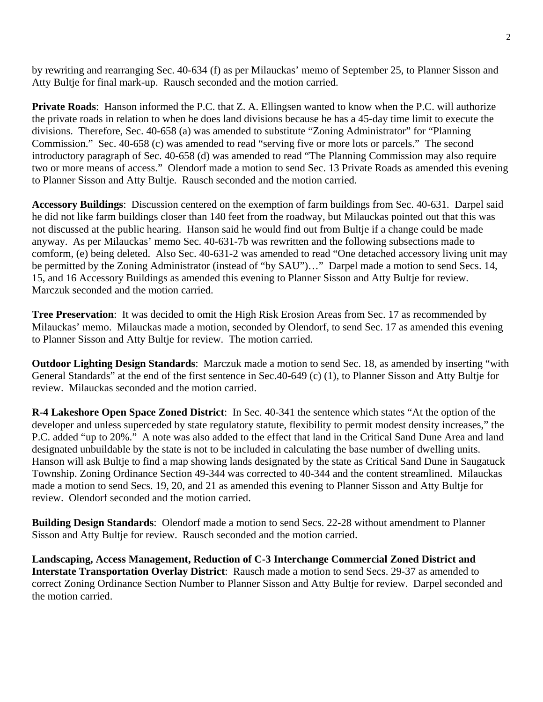by rewriting and rearranging Sec. 40-634 (f) as per Milauckas' memo of September 25, to Planner Sisson and Atty Bultje for final mark-up. Rausch seconded and the motion carried.

**Private Roads:** Hanson informed the P.C. that Z. A. Ellingsen wanted to know when the P.C. will authorize the private roads in relation to when he does land divisions because he has a 45-day time limit to execute the divisions. Therefore, Sec. 40-658 (a) was amended to substitute "Zoning Administrator" for "Planning Commission." Sec. 40-658 (c) was amended to read "serving five or more lots or parcels." The second introductory paragraph of Sec. 40-658 (d) was amended to read "The Planning Commission may also require two or more means of access." Olendorf made a motion to send Sec. 13 Private Roads as amended this evening to Planner Sisson and Atty Bultje. Rausch seconded and the motion carried.

**Accessory Buildings**: Discussion centered on the exemption of farm buildings from Sec. 40-631. Darpel said he did not like farm buildings closer than 140 feet from the roadway, but Milauckas pointed out that this was not discussed at the public hearing. Hanson said he would find out from Bultje if a change could be made anyway. As per Milauckas' memo Sec. 40-631-7b was rewritten and the following subsections made to comform, (e) being deleted. Also Sec. 40-631-2 was amended to read "One detached accessory living unit may be permitted by the Zoning Administrator (instead of "by SAU")..." Darpel made a motion to send Secs. 14, 15, and 16 Accessory Buildings as amended this evening to Planner Sisson and Atty Bultje for review. Marczuk seconded and the motion carried.

**Tree Preservation**: It was decided to omit the High Risk Erosion Areas from Sec. 17 as recommended by Milauckas' memo. Milauckas made a motion, seconded by Olendorf, to send Sec. 17 as amended this evening to Planner Sisson and Atty Bultje for review. The motion carried.

**Outdoor Lighting Design Standards**: Marczuk made a motion to send Sec. 18, as amended by inserting "with General Standards" at the end of the first sentence in Sec.40-649 (c) (1), to Planner Sisson and Atty Bultje for review. Milauckas seconded and the motion carried.

**R-4 Lakeshore Open Space Zoned District**: In Sec. 40-341 the sentence which states "At the option of the developer and unless superceded by state regulatory statute, flexibility to permit modest density increases," the P.C. added "up to 20%." A note was also added to the effect that land in the Critical Sand Dune Area and land designated unbuildable by the state is not to be included in calculating the base number of dwelling units. Hanson will ask Bultje to find a map showing lands designated by the state as Critical Sand Dune in Saugatuck Township. Zoning Ordinance Section 49-344 was corrected to 40-344 and the content streamlined. Milauckas made a motion to send Secs. 19, 20, and 21 as amended this evening to Planner Sisson and Atty Bultje for review. Olendorf seconded and the motion carried.

**Building Design Standards**: Olendorf made a motion to send Secs. 22-28 without amendment to Planner Sisson and Atty Bultje for review. Rausch seconded and the motion carried.

**Landscaping, Access Management, Reduction of C-3 Interchange Commercial Zoned District and Interstate Transportation Overlay District**: Rausch made a motion to send Secs. 29-37 as amended to correct Zoning Ordinance Section Number to Planner Sisson and Atty Bultje for review. Darpel seconded and the motion carried.